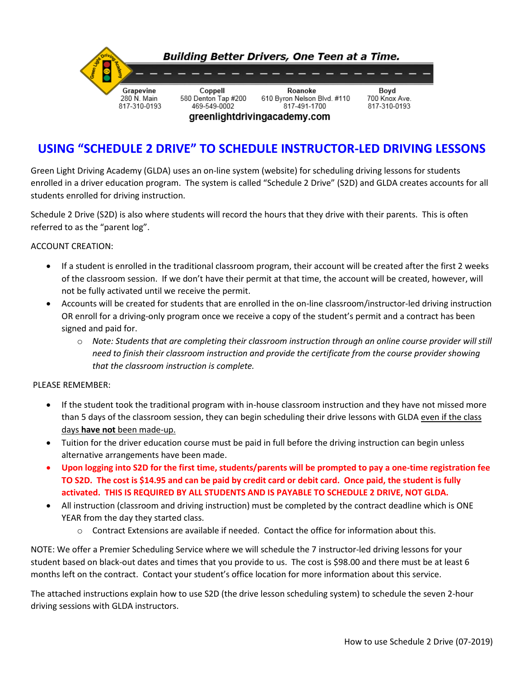

# **USING "SCHEDULE 2 DRIVE" TO SCHEDULE INSTRUCTOR-LED DRIVING LESSONS**

Green Light Driving Academy (GLDA) uses an on-line system (website) for scheduling driving lessons for students enrolled in a driver education program. The system is called "Schedule 2 Drive" (S2D) and GLDA creates accounts for all students enrolled for driving instruction.

Schedule 2 Drive (S2D) is also where students will record the hours that they drive with their parents. This is often referred to as the "parent log".

#### ACCOUNT CREATION:

- If a student is enrolled in the traditional classroom program, their account will be created after the first 2 weeks of the classroom session. If we don't have their permit at that time, the account will be created, however, will not be fully activated until we receive the permit.
- Accounts will be created for students that are enrolled in the on-line classroom/instructor-led driving instruction OR enroll for a driving-only program once we receive a copy of the student's permit and a contract has been signed and paid for.
	- o *Note: Students that are completing their classroom instruction through an online course provider will still need to finish their classroom instruction and provide the certificate from the course provider showing that the classroom instruction is complete.*

#### PLEASE REMEMBER:

- If the student took the traditional program with in-house classroom instruction and they have not missed more than 5 days of the classroom session, they can begin scheduling their drive lessons with GLDA even if the class days **have not** been made-up.
- Tuition for the driver education course must be paid in full before the driving instruction can begin unless alternative arrangements have been made.
- **Upon logging into S2D for the first time, students/parents will be prompted to pay a one-time registration fee TO S2D. The cost is \$14.95 and can be paid by credit card or debit card. Once paid, the student is fully activated. THIS IS REQUIRED BY ALL STUDENTS AND IS PAYABLE TO SCHEDULE 2 DRIVE, NOT GLDA.**
- All instruction (classroom and driving instruction) must be completed by the contract deadline which is ONE YEAR from the day they started class.
	- $\circ$  Contract Extensions are available if needed. Contact the office for information about this.

NOTE: We offer a Premier Scheduling Service where we will schedule the 7 instructor-led driving lessons for your student based on black-out dates and times that you provide to us. The cost is \$98.00 and there must be at least 6 months left on the contract. Contact your student's office location for more information about this service.

The attached instructions explain how to use S2D (the drive lesson scheduling system) to schedule the seven 2-hour driving sessions with GLDA instructors.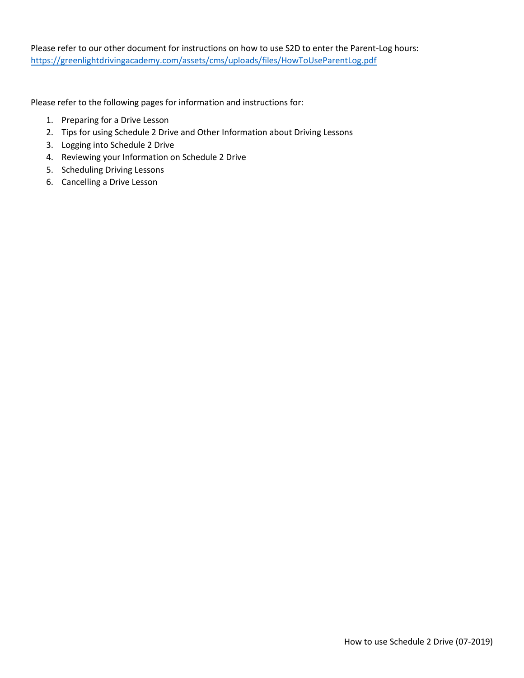Please refer to our other document for instructions on how to use S2D to enter the Parent-Log hours: <https://greenlightdrivingacademy.com/assets/cms/uploads/files/HowToUseParentLog.pdf>

Please refer to the following pages for information and instructions for:

- 1. Preparing for a Drive Lesson
- 2. Tips for using Schedule 2 Drive and Other Information about Driving Lessons
- 3. Logging into Schedule 2 Drive
- 4. Reviewing your Information on Schedule 2 Drive
- 5. Scheduling Driving Lessons
- 6. Cancelling a Drive Lesson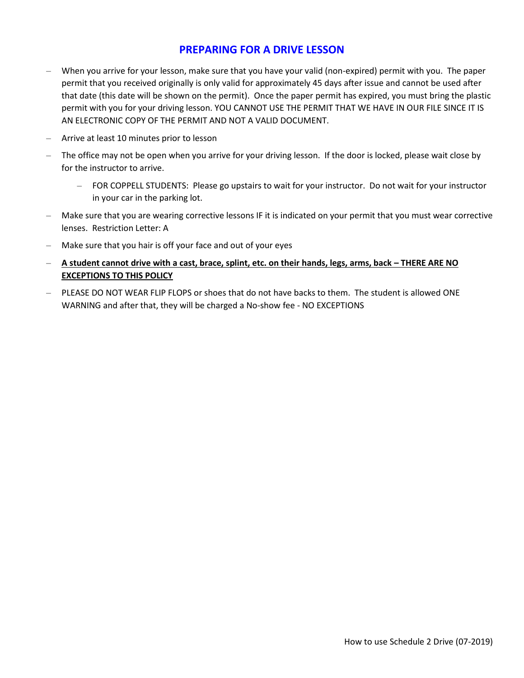### **PREPARING FOR A DRIVE LESSON**

- When you arrive for your lesson, make sure that you have your valid (non-expired) permit with you. The paper permit that you received originally is only valid for approximately 45 days after issue and cannot be used after that date (this date will be shown on the permit). Once the paper permit has expired, you must bring the plastic permit with you for your driving lesson. YOU CANNOT USE THE PERMIT THAT WE HAVE IN OUR FILE SINCE IT IS AN ELECTRONIC COPY OF THE PERMIT AND NOT A VALID DOCUMENT.
- Arrive at least 10 minutes prior to lesson
- The office may not be open when you arrive for your driving lesson. If the door is locked, please wait close by for the instructor to arrive.
	- FOR COPPELL STUDENTS: Please go upstairs to wait for your instructor. Do not wait for your instructor in your car in the parking lot.
- Make sure that you are wearing corrective lessons IF it is indicated on your permit that you must wear corrective lenses. Restriction Letter: A
- Make sure that you hair is off your face and out of your eyes
- **A student cannot drive with a cast, brace, splint, etc. on their hands, legs, arms, back – THERE ARE NO EXCEPTIONS TO THIS POLICY**
- PLEASE DO NOT WEAR FLIP FLOPS or shoes that do not have backs to them. The student is allowed ONE WARNING and after that, they will be charged a No-show fee - NO EXCEPTIONS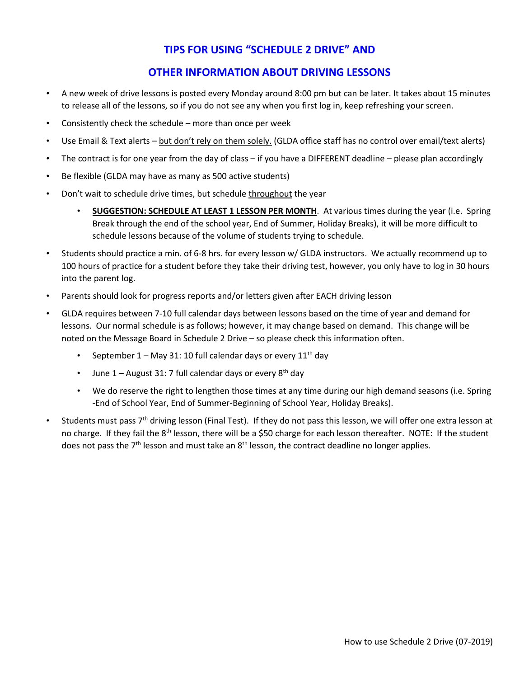## **TIPS FOR USING "SCHEDULE 2 DRIVE" AND**

### **OTHER INFORMATION ABOUT DRIVING LESSONS**

- A new week of drive lessons is posted every Monday around 8:00 pm but can be later. It takes about 15 minutes to release all of the lessons, so if you do not see any when you first log in, keep refreshing your screen.
- Consistently check the schedule more than once per week
- Use Email & Text alerts but don't rely on them solely. (GLDA office staff has no control over email/text alerts)
- The contract is for one year from the day of class if you have a DIFFERENT deadline please plan accordingly
- Be flexible (GLDA may have as many as 500 active students)
- Don't wait to schedule drive times, but schedule throughout the year
	- **SUGGESTION: SCHEDULE AT LEAST 1 LESSON PER MONTH**. At various times during the year (i.e. Spring Break through the end of the school year, End of Summer, Holiday Breaks), it will be more difficult to schedule lessons because of the volume of students trying to schedule.
- Students should practice a min. of 6-8 hrs. for every lesson w/ GLDA instructors. We actually recommend up to 100 hours of practice for a student before they take their driving test, however, you only have to log in 30 hours into the parent log.
- Parents should look for progress reports and/or letters given after EACH driving lesson
- GLDA requires between 7-10 full calendar days between lessons based on the time of year and demand for lessons. Our normal schedule is as follows; however, it may change based on demand. This change will be noted on the Message Board in Schedule 2 Drive – so please check this information often.
	- September 1 May 31: 10 full calendar days or every 11<sup>th</sup> day
	- June  $1 -$  August 31: 7 full calendar days or every  $8<sup>th</sup>$  day
	- We do reserve the right to lengthen those times at any time during our high demand seasons (i.e. Spring -End of School Year, End of Summer-Beginning of School Year, Holiday Breaks).
- Students must pass  $7<sup>th</sup>$  driving lesson (Final Test). If they do not pass this lesson, we will offer one extra lesson at no charge. If they fail the 8<sup>th</sup> lesson, there will be a \$50 charge for each lesson thereafter. NOTE: If the student does not pass the  $7<sup>th</sup>$  lesson and must take an  $8<sup>th</sup>$  lesson, the contract deadline no longer applies.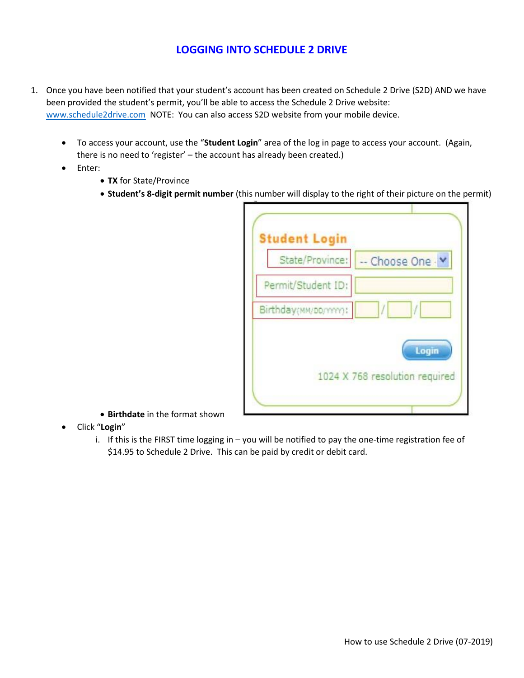## **LOGGING INTO SCHEDULE 2 DRIVE**

- 1. Once you have been notified that your student's account has been created on Schedule 2 Drive (S2D) AND we have been provided the student's permit, you'll be able to access the Schedule 2 Drive website: [www.schedule2drive.com](http://www.schedule2drive.com/) NOTE: You can also access S2D website from your mobile device.
	- To access your account, use the "**Student Login**" area of the log in page to access your account. (Again, there is no need to 'register' – the account has already been created.)
	- Enter:
		- **TX** for State/Province
		- **Student's 8-digit permit number** (this number will display to the right of their picture on the permit)

| <b>Student Login</b>  |                                |
|-----------------------|--------------------------------|
| State/Province:       | -- Choose One - Y              |
| Permit/Student ID:    |                                |
| Birthday(MM/DD/YYYY): | 1                              |
|                       | Login                          |
|                       | 1024 X 768 resolution required |
|                       |                                |

- **Birthdate** in the format shown
- Click "**Login**"
	- i. If this is the FIRST time logging in you will be notified to pay the one-time registration fee of \$14.95 to Schedule 2 Drive. This can be paid by credit or debit card.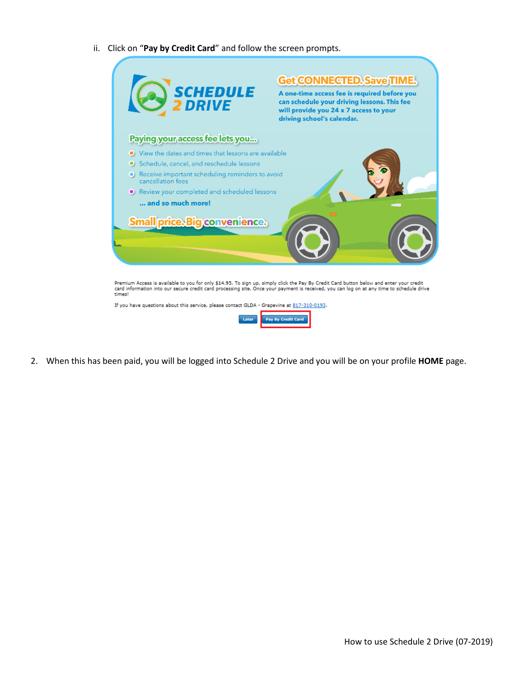ii. Click on "**Pay by Credit Card**" and follow the screen prompts.



2. When this has been paid, you will be logged into Schedule 2 Drive and you will be on your profile **HOME** page.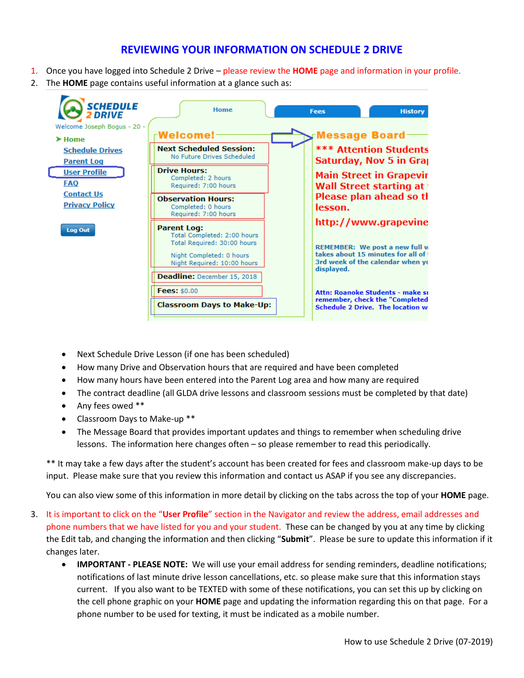### **REVIEWING YOUR INFORMATION ON SCHEDULE 2 DRIVE**

- 1. Once you have logged into Schedule 2 Drive please review the **HOME** page and information in your profile.
- 2. The **HOME** page contains useful information at a glance such as:



- Next Schedule Drive Lesson (if one has been scheduled)
- How many Drive and Observation hours that are required and have been completed
- How many hours have been entered into the Parent Log area and how many are required
- The contract deadline (all GLDA drive lessons and classroom sessions must be completed by that date)
- Any fees owed \*\*
- Classroom Days to Make-up \*\*
- The Message Board that provides important updates and things to remember when scheduling drive lessons. The information here changes often – so please remember to read this periodically.

\*\* It may take a few days after the student's account has been created for fees and classroom make-up days to be input. Please make sure that you review this information and contact us ASAP if you see any discrepancies.

You can also view some of this information in more detail by clicking on the tabs across the top of your **HOME** page.

- 3. It is important to click on the "**User Profile**" section in the Navigator and review the address, email addresses and phone numbers that we have listed for you and your student. These can be changed by you at any time by clicking the Edit tab, and changing the information and then clicking "**Submit**". Please be sure to update this information if it changes later.
	- **IMPORTANT - PLEASE NOTE:** We will use your email address for sending reminders, deadline notifications; notifications of last minute drive lesson cancellations, etc. so please make sure that this information stays current. If you also want to be TEXTED with some of these notifications, you can set this up by clicking on the cell phone graphic on your **HOME** page and updating the information regarding this on that page. For a phone number to be used for texting, it must be indicated as a mobile number.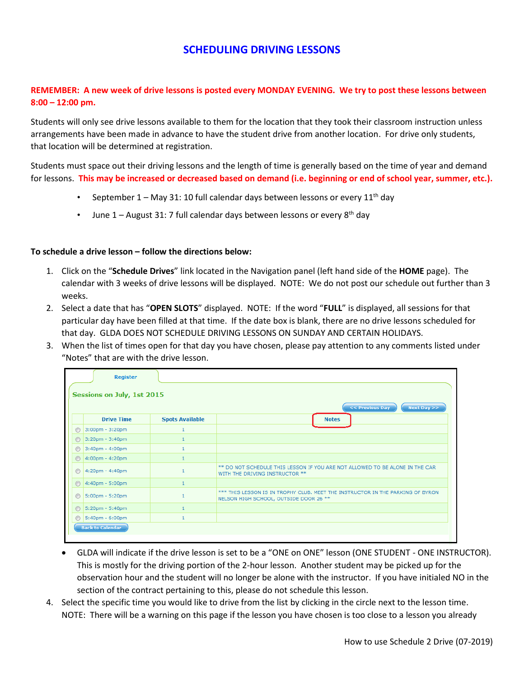### **SCHEDULING DRIVING LESSONS**

### **REMEMBER: A new week of drive lessons is posted every MONDAY EVENING. We try to post these lessons between 8:00 – 12:00 pm.**

Students will only see drive lessons available to them for the location that they took their classroom instruction unless arrangements have been made in advance to have the student drive from another location. For drive only students, that location will be determined at registration.

Students must space out their driving lessons and the length of time is generally based on the time of year and demand for lessons. **This may be increased or decreased based on demand (i.e. beginning or end of school year, summer, etc.).**

- September  $1 -$  May 31: 10 full calendar days between lessons or every  $11<sup>th</sup>$  day
- June  $1 -$  August 31: 7 full calendar days between lessons or every  $8<sup>th</sup>$  day

#### **To schedule a drive lesson – follow the directions below:**

- 1. Click on the "**Schedule Drives**" link located in the Navigation panel (left hand side of the **HOME** page). The calendar with 3 weeks of drive lessons will be displayed. NOTE: We do not post our schedule out further than 3 weeks.
- 2. Select a date that has "**OPEN SLOTS**" displayed. NOTE: If the word "**FULL**" is displayed, all sessions for that particular day have been filled at that time. If the date box is blank, there are no drive lessons scheduled for that day. GLDA DOES NOT SCHEDULE DRIVING LESSONS ON SUNDAY AND CERTAIN HOLIDAYS.
- 3. When the list of times open for that day you have chosen, please pay attention to any comments listed under "Notes" that are with the drive lesson.

|                | <b>Register</b><br>Sessions on July, 1st 2015 |                        | << Previous Day<br>Next Day >>                                                                                           |
|----------------|-----------------------------------------------|------------------------|--------------------------------------------------------------------------------------------------------------------------|
|                | <b>Drive Time</b>                             | <b>Spots Available</b> | <b>Notes</b>                                                                                                             |
| $\circledcirc$ | 3:00pm - 3:20pm                               |                        |                                                                                                                          |
| $\odot$        | 3:20pm - 3:40pm                               |                        |                                                                                                                          |
| €              | 3:40pm - 4:00pm                               |                        |                                                                                                                          |
| $\odot$        | 4:00pm - 4:20pm                               |                        |                                                                                                                          |
| $\odot$        | 4:20pm - 4:40pm                               |                        | ** DO NOT SCHEDULE THIS LESSON IF YOU ARE NOT ALLOWED TO BE ALONE IN THE CAR<br>WITH THE DRIVING INSTRUCTOR **           |
| $\odot$        | 4:40pm - 5:00pm                               |                        |                                                                                                                          |
| $\odot$        | 5:00pm - 5:20pm                               |                        | *** THIS LESSON IS IN TROPHY CLUB. MEET THE INSTRUCTOR IN THE PARKING OF BYRON<br>NELSON HIGH SCHOOL, OUTSIDE DOOR 26 ** |
| $\odot$        | 5:20pm - 5:40pm                               |                        |                                                                                                                          |
| $\odot$        | 5:40pm - 6:00pm                               |                        |                                                                                                                          |
|                | <b>Back to Calendar</b>                       |                        |                                                                                                                          |

- GLDA will indicate if the drive lesson is set to be a "ONE on ONE" lesson (ONE STUDENT ONE INSTRUCTOR). This is mostly for the driving portion of the 2-hour lesson. Another student may be picked up for the observation hour and the student will no longer be alone with the instructor. If you have initialed NO in the section of the contract pertaining to this, please do not schedule this lesson.
- 4. Select the specific time you would like to drive from the list by clicking in the circle next to the lesson time. NOTE: There will be a warning on this page if the lesson you have chosen is too close to a lesson you already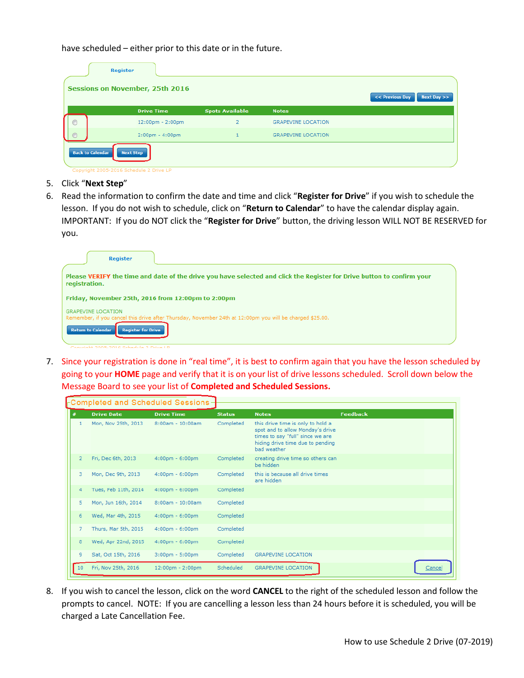have scheduled – either prior to this date or in the future.

|                         | Register<br><b>Sessions on November, 25th 2016</b>          |                        |                           | Next Day $>>$<br><< Previous Day |
|-------------------------|-------------------------------------------------------------|------------------------|---------------------------|----------------------------------|
|                         | <b>Drive Time</b>                                           | <b>Spots Available</b> | <b>Notes</b>              |                                  |
| $\circledcirc$          | 12:00pm - 2:00pm                                            | $\overline{2}$         | <b>GRAPEVINE LOCATION</b> |                                  |
| $\circ$                 | $2:00 \text{pm} - 4:00 \text{pm}$                           |                        | <b>GRAPEVINE LOCATION</b> |                                  |
| <b>Back to Calendar</b> | <b>Next Step</b><br>Copyright 2005-2016 Schedule 2 Drive LP |                        |                           |                                  |

- 5. Click "**Next Step**"
- 6. Read the information to confirm the date and time and click "**Register for Drive**" if you wish to schedule the lesson. If you do not wish to schedule, click on "**Return to Calendar**" to have the calendar display again. IMPORTANT: If you do NOT click the "**Register for Drive**" button, the driving lesson WILL NOT BE RESERVED for you.

| Register                                                                                                                                |
|-----------------------------------------------------------------------------------------------------------------------------------------|
| Please VERIFY the time and date of the drive you have selected and click the Register for Drive button to confirm your<br>registration. |
| Friday, November 25th, 2016 from 12:00pm to 2:00pm                                                                                      |
| <b>GRAPEVINE LOCATION</b><br>Remember, if you cancel this drive after Thursday, November 24th at 12:00pm you will be charged \$25.00.   |
| <b>Return to Calendar</b><br><b>Register for Drive</b>                                                                                  |
| Convict 2005-2016 Schodule 2 Drive LD                                                                                                   |

7. Since your registration is done in "real time", it is best to confirm again that you have the lesson scheduled by going to your **HOME** page and verify that it is on your list of drive lessons scheduled. Scroll down below the Message Board to see your list of **Completed and Scheduled Sessions.**

| Completed and Scheduled Sessions- |                |                      |                                   |               |                                                                                                                                                              |                 |        |
|-----------------------------------|----------------|----------------------|-----------------------------------|---------------|--------------------------------------------------------------------------------------------------------------------------------------------------------------|-----------------|--------|
|                                   | #              | <b>Drive Date</b>    | <b>Drive Time</b>                 | <b>Status</b> | <b>Notes</b>                                                                                                                                                 | <b>Feedback</b> |        |
|                                   | 1              | Mon, Nov 25th, 2013  | $8:00am - 10:00am$                | Completed     | this drive time is only to hold a<br>spot and to allow Monday's drive<br>times to say "full" since we are<br>hiding drive time due to pending<br>bad weather |                 |        |
|                                   | $\overline{2}$ | Fri, Dec 6th, 2013   | $4:00 \text{pm} - 6:00 \text{pm}$ | Completed     | creating drive time so others can<br>be hidden                                                                                                               |                 |        |
|                                   | 3              | Mon, Dec 9th, 2013   | $4:00$ pm - $6:00$ pm             | Completed     | this is because all drive times<br>are hidden                                                                                                                |                 |        |
|                                   | 4              | Tues, Feb 11th, 2014 | $4:00 \text{pm} - 6:00 \text{pm}$ | Completed     |                                                                                                                                                              |                 |        |
|                                   | 5              | Mon, Jun 16th, 2014  | 8:00am - 10:00am                  | Completed     |                                                                                                                                                              |                 |        |
|                                   | 6              | Wed, Mar 4th, 2015   | $4:00 \text{pm} - 6:00 \text{pm}$ | Completed     |                                                                                                                                                              |                 |        |
|                                   | $\overline{7}$ | Thurs, Mar 5th, 2015 | $4:00$ pm - $6:00$ pm             | Completed     |                                                                                                                                                              |                 |        |
|                                   | 8              | Wed, Apr 22nd, 2015  | $4:00 \text{pm} - 6:00 \text{pm}$ | Completed     |                                                                                                                                                              |                 |        |
|                                   | 9              | Sat, Oct 15th, 2016  | $3:00$ pm - $5:00$ pm             | Completed     | <b>GRAPEVINE LOCATION</b>                                                                                                                                    |                 |        |
|                                   | 10             | Fri, Nov 25th, 2016  | 12:00pm - 2:00pm                  | Scheduled     | <b>GRAPEVINE LOCATION</b>                                                                                                                                    |                 | Cancel |

8. If you wish to cancel the lesson, click on the word **CANCEL** to the right of the scheduled lesson and follow the prompts to cancel. NOTE: If you are cancelling a lesson less than 24 hours before it is scheduled, you will be charged a Late Cancellation Fee.